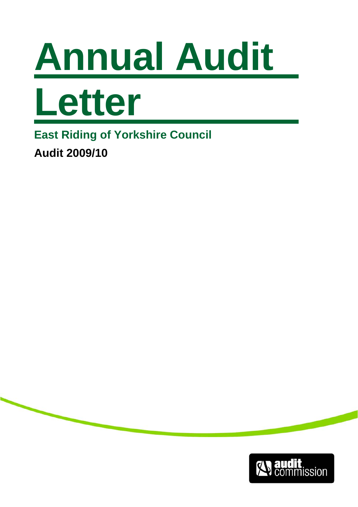



**East Riding of Yorkshire Council Audit 2009/10** 

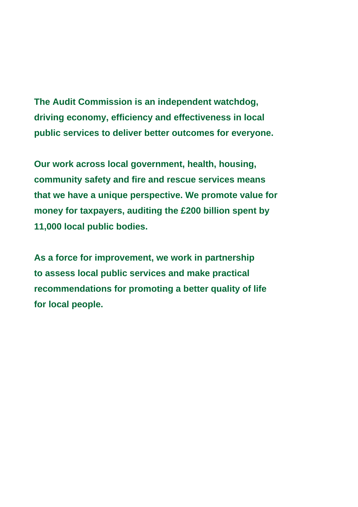**The Audit Commission is an independent watchdog, driving economy, efficiency and effectiveness in local public services to deliver better outcomes for everyone.** 

**Our work across local government, health, housing, community safety and fire and rescue services means that we have a unique perspective. We promote value for money for taxpayers, auditing the £200 billion spent by 11,000 local public bodies.** 

**As a force for improvement, we work in partnership to assess local public services and make practical recommendations for promoting a better quality of life for local people.**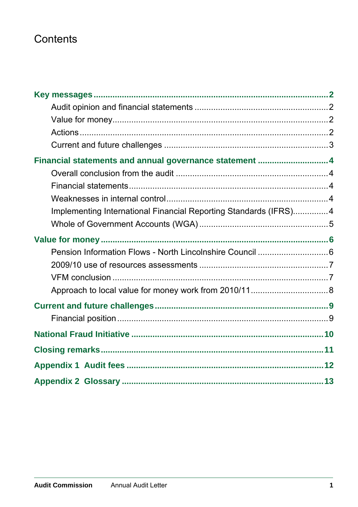# Contents

| Financial statements and annual governance statement  4          |  |
|------------------------------------------------------------------|--|
|                                                                  |  |
|                                                                  |  |
|                                                                  |  |
| Implementing International Financial Reporting Standards (IFRS)4 |  |
|                                                                  |  |
|                                                                  |  |
| Pension Information Flows - North Lincolnshire Council  6        |  |
|                                                                  |  |
|                                                                  |  |
|                                                                  |  |
|                                                                  |  |
|                                                                  |  |
|                                                                  |  |
|                                                                  |  |
|                                                                  |  |
|                                                                  |  |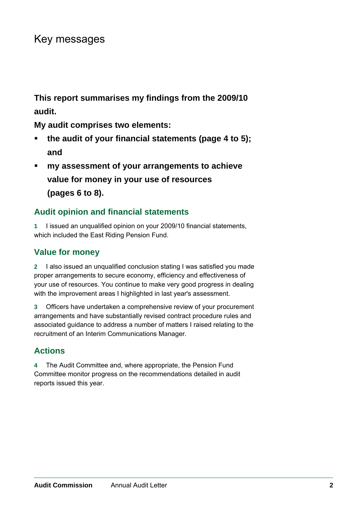# <span id="page-3-0"></span>Key messages

**This report summarises my findings from the 2009/10 audit.** 

**My audit comprises two elements:** 

- **the audit of your financial statements (page 4 to 5); and**
- **my assessment of your arrangements to achieve value for money in your use of resources (pages 6 to 8).**

## **Audit opinion and financial statements**

**1** I issued an unqualified opinion on your 2009/10 financial statements, which included the East Riding Pension Fund.

### **Value for money**

**2** I also issued an unqualified conclusion stating I was satisfied you made proper arrangements to secure economy, efficiency and effectiveness of your use of resources. You continue to make very good progress in dealing with the improvement areas I highlighted in last year's assessment.

**3** Officers have undertaken a comprehensive review of your procurement arrangements and have substantially revised contract procedure rules and associated guidance to address a number of matters I raised relating to the recruitment of an Interim Communications Manager.

## **Actions**

**4** The Audit Committee and, where appropriate, the Pension Fund Committee monitor progress on the recommendations detailed in audit reports issued this year.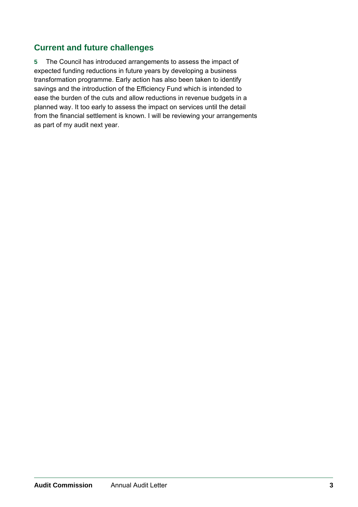### <span id="page-4-0"></span>**Current and future challenges**

**5** The Council has introduced arrangements to assess the impact of expected funding reductions in future years by developing a business transformation programme. Early action has also been taken to identify savings and the introduction of the Efficiency Fund which is intended to ease the burden of the cuts and allow reductions in revenue budgets in a planned way. It too early to assess the impact on services until the detail from the financial settlement is known. I will be reviewing your arrangements as part of my audit next year.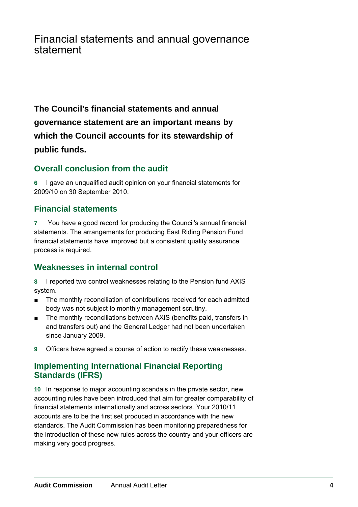## <span id="page-5-0"></span>Financial statements and annual governance statement

**The Council's financial statements and annual governance statement are an important means by which the Council accounts for its stewardship of public funds.** 

### **Overall conclusion from the audit**

**6** I gave an unqualified audit opinion on your financial statements for 2009/10 on 30 September 2010.

### **Financial statements**

**7** You have a good record for producing the Council's annual financial statements. The arrangements for producing East Riding Pension Fund financial statements have improved but a consistent quality assurance process is required.

## **Weaknesses in internal control**

**8** I reported two control weaknesses relating to the Pension fund AXIS system.

- The monthly reconciliation of contributions received for each admitted body was not subject to monthly management scrutiny.
- The monthly reconciliations between AXIS (benefits paid, transfers in and transfers out) and the General Ledger had not been undertaken since January 2009.
- **9** Officers have agreed a course of action to rectify these weaknesses.

### **Implementing International Financial Reporting Standards (IFRS)**

**10** In response to major accounting scandals in the private sector, new accounting rules have been introduced that aim for greater comparability of financial statements internationally and across sectors. Your 2010/11 accounts are to be the first set produced in accordance with the new standards. The Audit Commission has been monitoring preparedness for the introduction of these new rules across the country and your officers are making very good progress.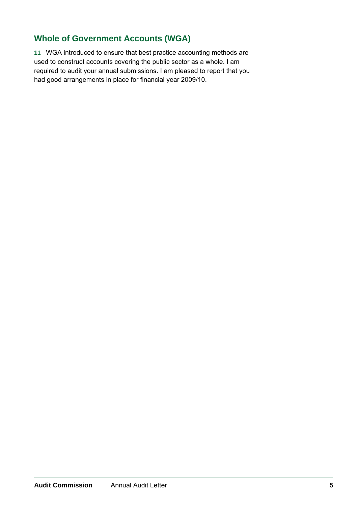## <span id="page-6-0"></span>**Whole of Government Accounts (WGA)**

**11** WGA introduced to ensure that best practice accounting methods are used to construct accounts covering the public sector as a whole. I am required to audit your annual submissions. I am pleased to report that you had good arrangements in place for financial year 2009/10.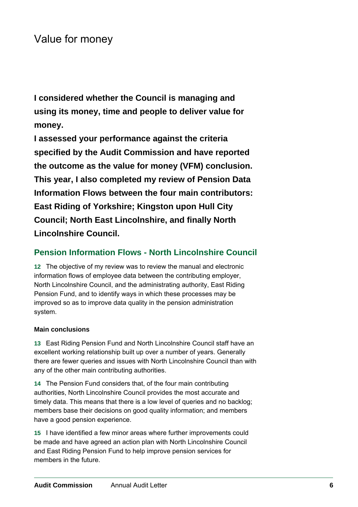# <span id="page-7-0"></span>Value for money

**I considered whether the Council is managing and using its money, time and people to deliver value for money.** 

**I assessed your performance against the criteria specified by the Audit Commission and have reported the outcome as the value for money (VFM) conclusion. This year, I also completed my review of Pension Data Information Flows between the four main contributors: East Riding of Yorkshire; Kingston upon Hull City Council; North East Lincolnshire, and finally North Lincolnshire Council.** 

### **Pension Information Flows - North Lincolnshire Council**

**12** The objective of my review was to review the manual and electronic information flows of employee data between the contributing employer, North Lincolnshire Council, and the administrating authority, East Riding Pension Fund, and to identify ways in which these processes may be improved so as to improve data quality in the pension administration system.

#### **Main conclusions**

**13** East Riding Pension Fund and North Lincolnshire Council staff have an excellent working relationship built up over a number of years. Generally there are fewer queries and issues with North Lincolnshire Council than with any of the other main contributing authorities.

**14** The Pension Fund considers that, of the four main contributing authorities, North Lincolnshire Council provides the most accurate and timely data. This means that there is a low level of queries and no backlog; members base their decisions on good quality information; and members have a good pension experience.

**15** I have identified a few minor areas where further improvements could be made and have agreed an action plan with North Lincolnshire Council and East Riding Pension Fund to help improve pension services for members in the future.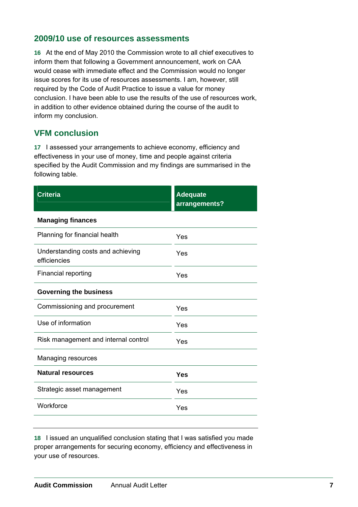### <span id="page-8-0"></span>**2009/10 use of resources assessments**

**16** At the end of May 2010 the Commission wrote to all chief executives to inform them that following a Government announcement, work on CAA would cease with immediate effect and the Commission would no longer issue scores for its use of resources assessments. I am, however, still required by the Code of Audit Practice to issue a value for money conclusion. I have been able to use the results of the use of resources work, in addition to other evidence obtained during the course of the audit to inform my conclusion.

### **VFM conclusion**

**17** I assessed your arrangements to achieve economy, efficiency and effectiveness in your use of money, time and people against criteria specified by the Audit Commission and my findings are summarised in the following table.

| <b>Criteria</b>                                   | <b>Adequate</b><br>arrangements? |
|---------------------------------------------------|----------------------------------|
| <b>Managing finances</b>                          |                                  |
| Planning for financial health                     | Yes                              |
| Understanding costs and achieving<br>efficiencies | Yes                              |
| <b>Financial reporting</b>                        | Yes                              |
| <b>Governing the business</b>                     |                                  |
| Commissioning and procurement                     | Yes                              |
| Use of information                                | Yes                              |
| Risk management and internal control              | Yes                              |
| Managing resources                                |                                  |
| <b>Natural resources</b>                          | <b>Yes</b>                       |
| Strategic asset management                        | Yes                              |
| Workforce                                         | Yes                              |

**18** I issued an unqualified conclusion stating that I was satisfied you made proper arrangements for securing economy, efficiency and effectiveness in your use of resources.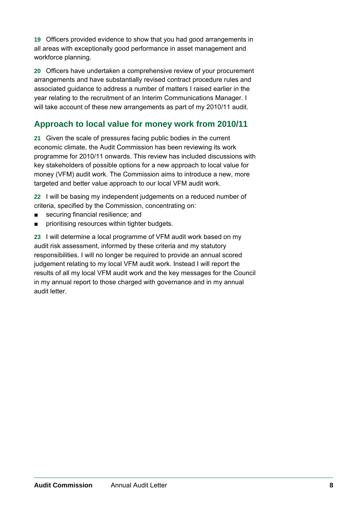<span id="page-9-0"></span>**19** Officers provided evidence to show that you had good arrangements in all areas with exceptionally good performance in asset management and workforce planning.

**20** Officers have undertaken a comprehensive review of your procurement arrangements and have substantially revised contract procedure rules and associated guidance to address a number of matters I raised earlier in the year relating to the recruitment of an Interim Communications Manager. I will take account of these new arrangements as part of my 2010/11 audit.

## **Approach to local value for money work from 2010/11**

**21** Given the scale of pressures facing public bodies in the current economic climate, the Audit Commission has been reviewing its work programme for 2010/11 onwards. This review has included discussions with key stakeholders of possible options for a new approach to local value for money (VFM) audit work. The Commission aims to introduce a new, more targeted and better value approach to our local VFM audit work.

**22** I will be basing my independent judgements on a reduced number of criteria, specified by the Commission, concentrating on:

- securing financial resilience; and
- prioritising resources within tighter budgets.

**23** I will determine a local programme of VFM audit work based on my audit risk assessment, informed by these criteria and my statutory responsibilities. I will no longer be required to provide an annual scored judgement relating to my local VFM audit work. Instead I will report the results of all my local VFM audit work and the key messages for the Council in my annual report to those charged with governance and in my annual audit letter.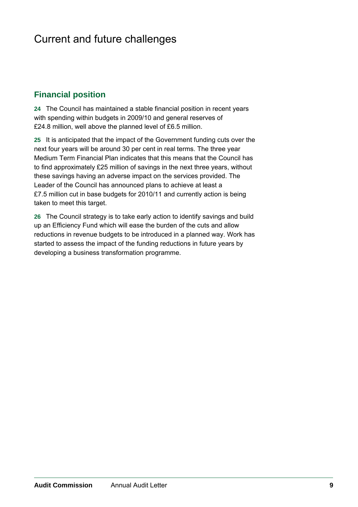# <span id="page-10-0"></span>Current and future challenges

### **Financial position**

**24** The Council has maintained a stable financial position in recent years with spending within budgets in 2009/10 and general reserves of £24.8 million, well above the planned level of £6.5 million.

**25** It is anticipated that the impact of the Government funding cuts over the next four years will be around 30 per cent in real terms. The three year Medium Term Financial Plan indicates that this means that the Council has to find approximately £25 million of savings in the next three years, without these savings having an adverse impact on the services provided. The Leader of the Council has announced plans to achieve at least a £7.5 million cut in base budgets for 2010/11 and currently action is being taken to meet this target.

**26** The Council strategy is to take early action to identify savings and build up an Efficiency Fund which will ease the burden of the cuts and allow reductions in revenue budgets to be introduced in a planned way. Work has started to assess the impact of the funding reductions in future years by developing a business transformation programme.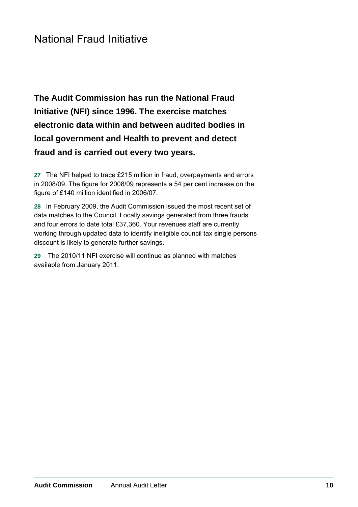# <span id="page-11-0"></span>National Fraud Initiative

**The Audit Commission has run the National Fraud Initiative (NFI) since 1996. The exercise matches electronic data within and between audited bodies in local government and Health to prevent and detect fraud and is carried out every two years.** 

**27** The NFI helped to trace £215 million in fraud, overpayments and errors in 2008/09. The figure for 2008/09 represents a 54 per cent increase on the figure of £140 million identified in 2006/07.

**28** In February 2009, the Audit Commission issued the most recent set of data matches to the Council. Locally savings generated from three frauds and four errors to date total £37,360. Your revenues staff are currently working through updated data to identify ineligible council tax single persons discount is likely to generate further savings.

**29** The 2010/11 NFI exercise will continue as planned with matches available from January 2011.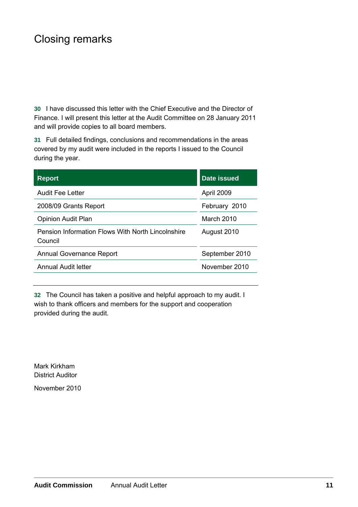# <span id="page-12-0"></span>Closing remarks

**30** I have discussed this letter with the Chief Executive and the Director of Finance. I will present this letter at the Audit Committee on 28 January 2011 and will provide copies to all board members.

**31** Full detailed findings, conclusions and recommendations in the areas covered by my audit were included in the reports I issued to the Council during the year.

| <b>Report</b>                                                | <b>Date issued</b> |
|--------------------------------------------------------------|--------------------|
| <b>Audit Fee Letter</b>                                      | April 2009         |
| 2008/09 Grants Report                                        | February 2010      |
| <b>Opinion Audit Plan</b>                                    | March 2010         |
| Pension Information Flows With North Lincolnshire<br>Council | August 2010        |
| <b>Annual Governance Report</b>                              | September 2010     |
| Annual Audit letter                                          | November 2010      |

**32** The Council has taken a positive and helpful approach to my audit. I wish to thank officers and members for the support and cooperation provided during the audit.

Mark Kirkham District Auditor November 2010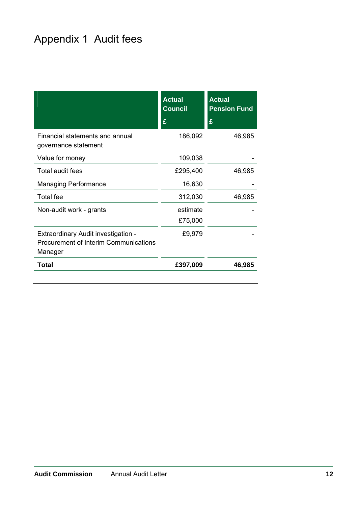# <span id="page-13-0"></span>Appendix 1 Audit fees

|                                                                                         | <b>Actual</b><br><b>Council</b><br>£ | <b>Actual</b><br><b>Pension Fund</b><br>£ |
|-----------------------------------------------------------------------------------------|--------------------------------------|-------------------------------------------|
| Financial statements and annual<br>governance statement                                 | 186,092                              | 46,985                                    |
| Value for money                                                                         | 109,038                              |                                           |
| Total audit fees                                                                        | £295,400                             | 46,985                                    |
| <b>Managing Performance</b>                                                             | 16,630                               |                                           |
| <b>Total fee</b>                                                                        | 312,030                              | 46,985                                    |
| Non-audit work - grants                                                                 | estimate<br>£75,000                  |                                           |
| Extraordinary Audit investigation -<br>Procurement of Interim Communications<br>Manager | £9,979                               |                                           |
| <b>Total</b>                                                                            | £397,009                             | 46,985                                    |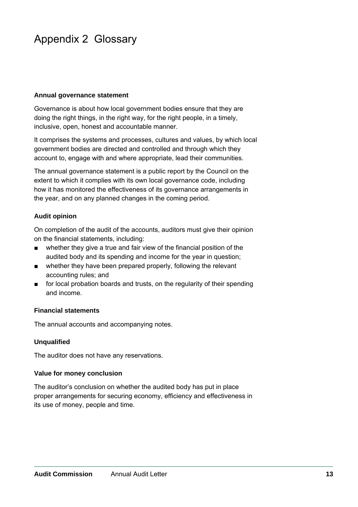# <span id="page-14-0"></span>Appendix 2 Glossary

#### **Annual governance statement**

Governance is about how local government bodies ensure that they are doing the right things, in the right way, for the right people, in a timely, inclusive, open, honest and accountable manner.

It comprises the systems and processes, cultures and values, by which local government bodies are directed and controlled and through which they account to, engage with and where appropriate, lead their communities.

The annual governance statement is a public report by the Council on the extent to which it complies with its own local governance code, including how it has monitored the effectiveness of its governance arrangements in the year, and on any planned changes in the coming period.

#### **Audit opinion**

On completion of the audit of the accounts, auditors must give their opinion on the financial statements, including:

- whether they give a true and fair view of the financial position of the audited body and its spending and income for the year in question;
- whether they have been prepared properly, following the relevant accounting rules; and
- for local probation boards and trusts, on the regularity of their spending and income.

#### **Financial statements**

The annual accounts and accompanying notes.

#### **Unqualified**

The auditor does not have any reservations.

#### **Value for money conclusion**

The auditor's conclusion on whether the audited body has put in place proper arrangements for securing economy, efficiency and effectiveness in its use of money, people and time.